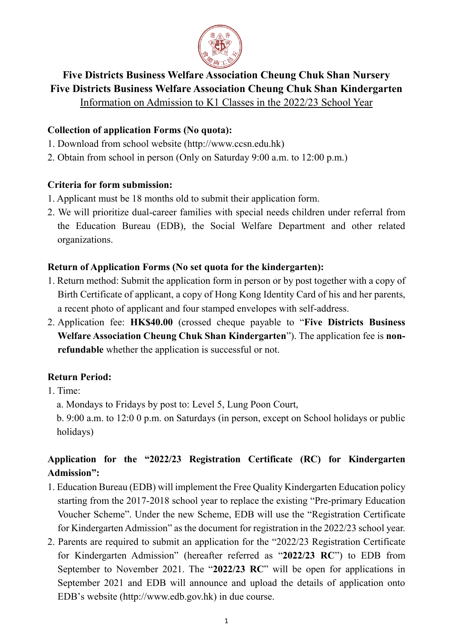

## **Five Districts Business Welfare Association Cheung Chuk Shan Nursery Five Districts Business Welfare Association Cheung Chuk Shan Kindergarten**

Information on Admission to K1 Classes in the 2022/23 School Year

#### **Collection of application Forms (No quota):**

- 1. Download from school website (http://www.ccsn.edu.hk)
- 2. Obtain from school in person (Only on Saturday 9:00 a.m. to 12:00 p.m.)

#### **Criteria for form submission:**

- 1. Applicant must be 18 months old to submit their application form.
- 2. We will prioritize dual-career families with special needs children under referral from the Education Bureau (EDB), the Social Welfare Department and other related organizations.

#### **Return of Application Forms (No set quota for the kindergarten):**

- 1. Return method: Submit the application form in person or by post together with a copy of Birth Certificate of applicant, a copy of Hong Kong Identity Card of his and her parents, a recent photo of applicant and four stamped envelopes with self-address.
- 2. Application fee: **HK\$40.00** (crossed cheque payable to "**Five Districts Business Welfare Association Cheung Chuk Shan Kindergarten**"). The application fee is **nonrefundable** whether the application is successful or not.

### **Return Period:**

- 1. Time:
	- a. Mondays to Fridays by post to: Level 5, Lung Poon Court,

b. 9:00 a.m. to 12:0 0 p.m. on Saturdays (in person, except on School holidays or public holidays)

# **Application for the "2022/23 Registration Certificate (RC) for Kindergarten Admission":**

- 1. Education Bureau (EDB) will implement the Free Quality Kindergarten Education policy starting from the 2017-2018 school year to replace the existing "Pre-primary Education Voucher Scheme". Under the new Scheme, EDB will use the "Registration Certificate for Kindergarten Admission" as the document for registration in the 2022/23 school year.
- 2. Parents are required to submit an application for the "2022/23 Registration Certificate for Kindergarten Admission" (hereafter referred as "**2022/23 RC**") to EDB from September to November 2021. The "**2022/23 RC**" will be open for applications in September 2021 and EDB will announce and upload the details of application onto EDB's website (http://www.edb.gov.hk) in due course.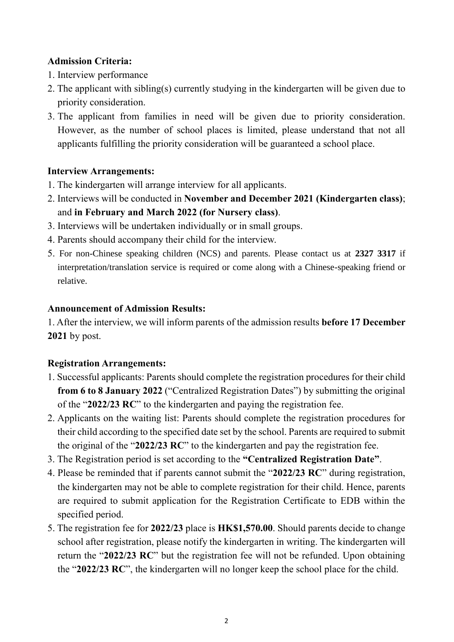#### **Admission Criteria:**

- 1. Interview performance
- 2. The applicant with sibling(s) currently studying in the kindergarten will be given due to priority consideration.
- 3. The applicant from families in need will be given due to priority consideration. However, as the number of school places is limited, please understand that not all applicants fulfilling the priority consideration will be guaranteed a school place.

#### **Interview Arrangements:**

- 1. The kindergarten will arrange interview for all applicants.
- 2. Interviews will be conducted in **November and December 2021 (Kindergarten class)**; and **in February and March 2022 (for Nursery class)**.
- 3. Interviews will be undertaken individually or in small groups.
- 4. Parents should accompany their child for the interview.
- 5. For non-Chinese speaking children (NCS) and parents. Please contact us at **2327 3317** if interpretation/translation service is required or come along with a Chinese-speaking friend or relative.

#### **Announcement of Admission Results:**

1. After the interview, we will inform parents of the admission results **before 17 December 2021** by post.

### **Registration Arrangements:**

- 1. Successful applicants: Parents should complete the registration procedures for their child **from 6 to 8 January 2022** ("Centralized Registration Dates") by submitting the original of the "**2022/23 RC**" to the kindergarten and paying the registration fee.
- 2. Applicants on the waiting list: Parents should complete the registration procedures for their child according to the specified date set by the school. Parents are required to submit the original of the "**2022/23 RC**" to the kindergarten and pay the registration fee.
- 3. The Registration period is set according to the **"Centralized Registration Date"**.
- 4. Please be reminded that if parents cannot submit the "**2022/23 RC**" during registration, the kindergarten may not be able to complete registration for their child. Hence, parents are required to submit application for the Registration Certificate to EDB within the specified period.
- 5. The registration fee for **2022/23** place is **HK\$1,570.00**. Should parents decide to change school after registration, please notify the kindergarten in writing. The kindergarten will return the "**2022/23 RC**" but the registration fee will not be refunded. Upon obtaining the "**2022/23 RC**", the kindergarten will no longer keep the school place for the child.